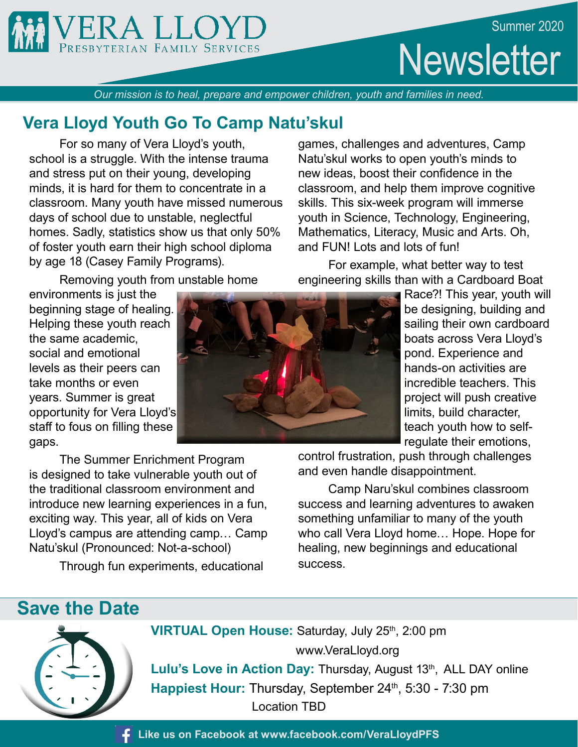



**Newsletter** 

*Our mission is to heal, prepare and empower children, youth and families in need.*

## **Vera Lloyd Youth Go To Camp Natu'skul**

 For so many of Vera Lloyd's youth, school is a struggle. With the intense trauma and stress put on their young, developing minds, it is hard for them to concentrate in a classroom. Many youth have missed numerous days of school due to unstable, neglectful homes. Sadly, statistics show us that only 50% of foster youth earn their high school diploma by age 18 (Casey Family Programs).

Removing youth from unstable home

environments is just the beginning stage of healing. Helping these youth reach the same academic, social and emotional levels as their peers can take months or even years. Summer is great opportunity for Vera Lloyd's staff to fous on filling these gaps.

 The Summer Enrichment Program is designed to take vulnerable youth out of the traditional classroom environment and introduce new learning experiences in a fun, exciting way. This year, all of kids on Vera Lloyd's campus are attending camp… Camp Natu'skul (Pronounced: Not-a-school)

Through fun experiments, educational

games, challenges and adventures, Camp Natu'skul works to open youth's minds to new ideas, boost their confidence in the classroom, and help them improve cognitive skills. This six-week program will immerse youth in Science, Technology, Engineering, Mathematics, Literacy, Music and Arts. Oh, and FUN! Lots and lots of fun!

 For example, what better way to test engineering skills than with a Cardboard Boat

> Race?! This year, youth will be designing, building and sailing their own cardboard boats across Vera Lloyd's pond. Experience and hands-on activities are incredible teachers. This project will push creative limits, build character, teach youth how to selfregulate their emotions,

control frustration, push through challenges and even handle disappointment.

 Camp Naru'skul combines classroom success and learning adventures to awaken something unfamiliar to many of the youth who call Vera Lloyd home… Hope. Hope for healing, new beginnings and educational success.

# **Save the Date**



**VIRTUAL Open House: Saturday, July 25th, 2:00 pm**  www.VeraLloyd.org Lulu's Love in Action Day: Thursday, August 13<sup>th</sup>, ALL DAY online

Happiest Hour: Thursday, September 24<sup>th</sup>, 5:30 - 7:30 pm Location TBD

**Like us on Facebook at www.facebook.com/VeraLloydPFS**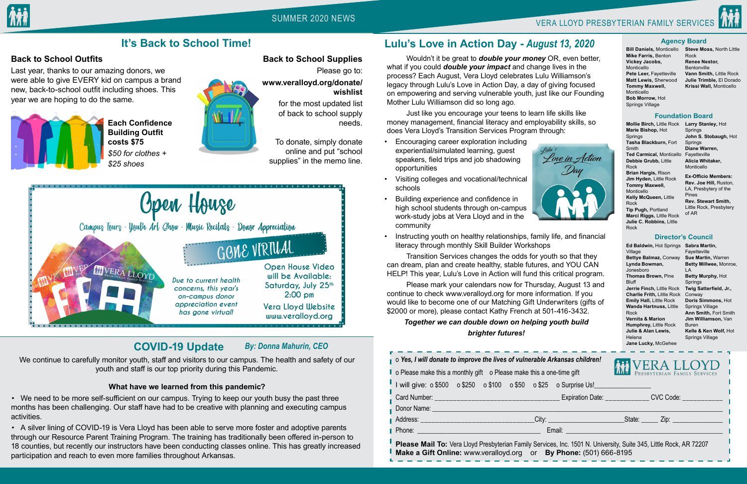SUMMER 2020 NEWS VERA LLOYD PRESBYTERIAN FAMILY SERVICES



#### o *Yes, I will donate to improve the lives of vulnerable Arkansas children!*

| o Yes, I will donate to improve the lives of vulnerable Arkansas children!<br>o Please make this a monthly gift o Please make this a one-time gift |  |  |  |  |  |  | WERA LLOYD |
|----------------------------------------------------------------------------------------------------------------------------------------------------|--|--|--|--|--|--|------------|
| I will give: 0\$500 0\$250 0\$100 0\$50 0\$25 0 Surprise Us!                                                                                       |  |  |  |  |  |  |            |
|                                                                                                                                                    |  |  |  |  |  |  |            |
|                                                                                                                                                    |  |  |  |  |  |  |            |
|                                                                                                                                                    |  |  |  |  |  |  |            |
| Email: <u>Alexander and Alexander and Alexander and Alexander and Alexander and Alexander and Alexander and Alex</u>                               |  |  |  |  |  |  |            |
|                                                                                                                                                    |  |  |  |  |  |  |            |

**Please Mail To:** Vera Lloyd Presbyterian Family Services, Inc. 1501 N. University, Suite 345, Little Rock, AR 72207 **Make a Gift Online:** www.veralloyd.org or **By Phone:** (501) 666-8195

Springs **John S. Stobaugh,** Hot **Springs Diane Warren,**  Fayetteville **Alicia Whitaker, Monticello** 

## **Back to School Outfits**

Last year, thanks to our amazing donors, we were able to give EVERY kid on campus a brand new, back-to-school outfit including shoes. This year we are hoping to do the same.



 **Each Confidence Building Outfit costs \$75**   *\$50 for clothes + \$25 shoes*



**Back to School Supplies** Please go to: **www.veralloyd.org/donate/ wishlist** 

> for the most updated list of back to school supply needs.

To donate, simply donate online and put "school supplies" in the memo line.





# **It's Back to School Time!**

**Mollie Birch,** Little Rock **Larry Stanley,** Hot **Marie Bishop,** Hot Springs **Tasha Blackburn,** Fort Smith **Ted Carmical,** Monticello **Debbie Grubb,** Little Rock **Brian Hargis,** Rison **Jim Hyden,** Little Rock **Tommy Maxwell,**  Monticello **Kelly McQueen,** Little Rock **Tip Pugh,** Portland **Marci Riggs,** Little Rock

**Julie C. Robbins,** Little Rock

**Ex-Officio Members: Rev. Joe Hill,** Ruston, LA, Presbytery of the Pines **Rev. Stewart Smith,**  Little Rock, Presbytery of AR

**Ed Baldwin,** Hot Springs **Sabra Martin,**  Village **Bettye Balmaz,** Conway **Lynda Bowman,**  Jonesboro **Thomas Brown,** Pine **Bluff Jerrie Finch,** Little Rock **Charlie Frith,** Little Rock **Emily Hall,** Little Rock **Wanda Hartnuss,** Little Rock **Vernita & Marion Humphrey,** Little Rock **Julie & Alan Lewis,**  Helena

**Jane Lucky,** McGehee

• We need to be more self-sufficient on our campus. Trying to keep our youth busy the past three months has been challenging. Our staff have had to be creative with planning and executing campus activities.

Fayetteville **Sue Martin,** Warren LA **Betty Murphy,** Hot Springs

**Betty Millwee,** Monroe, **Twig Satterfield, Jr., Ann Smith,** Fort Smith **Kelle & Ken Wolf,** Hot

Conway **Doris Simmons,** Hot Springs Village **Jim Williamson,** Van Buren

Springs Village



 Wouldn't it be great to *double your money* OR, even better, what if you could *double your impact* and change lives in the process? Each August, Vera Lloyd celebrates Lulu Williamson's legacy through Lulu's Love in Action Day, a day of giving focused on empowering and serving vulnerable youth, just like our Founding Mother Lulu Williamson did so long ago.

 Just like you encourage your teens to learn life skills like money management, financial literacy and employability skills, so does Vera Lloyd's Transition Services Program through:

• Encouraging career exploration including experiential/simulated learning, guest speakers, field trips and job shadowing opportunities



- Visiting colleges and vocational/technical schools
- Building experience and confidence in high school students through on-campus work-study jobs at Vera Lloyd and in the community



• Instructing youth on healthy relationships, family life, and financial literacy through monthly Skill Builder Workshops

 Transition Services changes the odds for youth so that they can dream, plan and create healthy, stable futures, and YOU CAN HELP! This year, Lulu's Love in Action will fund this critical program.

 Please mark your calendars now for Thursday, August 13 and continue to check www.veralloyd.org for more information. If you would like to become one of our Matching Gift Underwriters (gifts of \$2000 or more), please contact Kathy French at 501-416-3432.

## *Together we can double down on helping youth build brighter futures!*

# **Lulu's Love in Action Day -** *August 13, 2020*

# **COVID-19 Update**

We continue to carefully monitor youth, staff and visitors to our campus. The health and safety of our youth and staff is our top priority during this Pandemic.

### **What have we learned from this pandemic?**

• A silver lining of COVID-19 is Vera Lloyd has been able to serve more foster and adoptive parents through our Resource Parent Training Program. The training has traditionally been offered in-person to 18 counties, but recently our instructors have been conducting classes online. This has greatly increased participation and reach to even more families throughout Arkansas.

## *By: Donna Mahurin, CEO*

**Bill Daniels,** Monticello **Mike Farris,** Benton **Vickey Jacobs,**  Monticello **Pete Leer,** Fayetteville **Matt Lewis,** Sherwood **Tommy Maxwell,**  Monticello **Bob Morrow,** Hot Springs Village

#### **Steve Moss,** North Little Rock **Renee Nestor,**  Bentonville **Vann Smith,** Little Rock **Julie Trimble,** El Dorado **Krissi Wall,** Monticello

#### **Agency Board**

#### **Foundation Board**

#### **Director's Council**